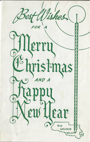st Wisher  $\mathcal{U}$ erru mistmas ear RIO **GRANDE**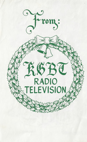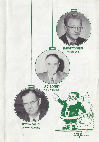